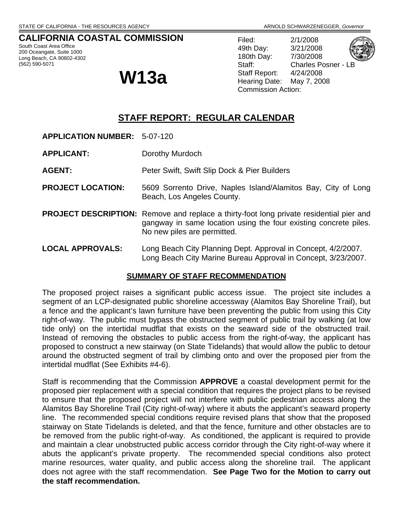# **CALIFORNIA COASTAL COMMISSION**

South Coast Area Office 200 Oceangate, Suite 1000 Long Beach, CA 90802-4302 (562) 590-5071

Filed: 2/1/2008 49th Day: 3/21/2008 180th Day: 7/30/2008 Staff: Charles Posner - LB Staff Report: 4/24/2008 Commission Action:



 $\mathbf{W}$ 13a  $\mathbf{B}$  Staff Report: 4/24/2008

# **STAFF REPORT: REGULAR CALENDAR**

- **APPLICATION NUMBER:** 5-07-120
- **APPLICANT:** Dorothy Murdoch

**AGENT:** Peter Swift, Swift Slip Dock & Pier Builders

- **PROJECT LOCATION:** 5609 Sorrento Drive, Naples Island/Alamitos Bay, City of Long Beach, Los Angeles County.
- **PROJECT DESCRIPTION:** Remove and replace a thirty-foot long private residential pier and gangway in same location using the four existing concrete piles. No new piles are permitted.
- **LOCAL APPROVALS:** Long Beach City Planning Dept. Approval in Concept, 4/2/2007. Long Beach City Marine Bureau Approval in Concept, 3/23/2007.

#### **SUMMARY OF STAFF RECOMMENDATION**

The proposed project raises a significant public access issue. The project site includes a segment of an LCP-designated public shoreline accessway (Alamitos Bay Shoreline Trail), but a fence and the applicant's lawn furniture have been preventing the public from using this City right-of-way. The public must bypass the obstructed segment of public trail by walking (at low tide only) on the intertidal mudflat that exists on the seaward side of the obstructed trail. Instead of removing the obstacles to public access from the right-of-way, the applicant has proposed to construct a new stairway (on State Tidelands) that would allow the public to detour around the obstructed segment of trail by climbing onto and over the proposed pier from the intertidal mudflat (See Exhibits #4-6).

Staff is recommending that the Commission **APPROVE** a coastal development permit for the proposed pier replacement with a special condition that requires the project plans to be revised to ensure that the proposed project will not interfere with public pedestrian access along the Alamitos Bay Shoreline Trail (City right-of-way) where it abuts the applicant's seaward property line. The recommended special conditions require revised plans that show that the proposed stairway on State Tidelands is deleted, and that the fence, furniture and other obstacles are to be removed from the public right-of-way. As conditioned, the applicant is required to provide and maintain a clear unobstructed public access corridor through the City right-of-way where it abuts the applicant's private property. The recommended special conditions also protect marine resources, water quality, and public access along the shoreline trail. The applicant does not agree with the staff recommendation. **See Page Two for the Motion to carry out the staff recommendation.**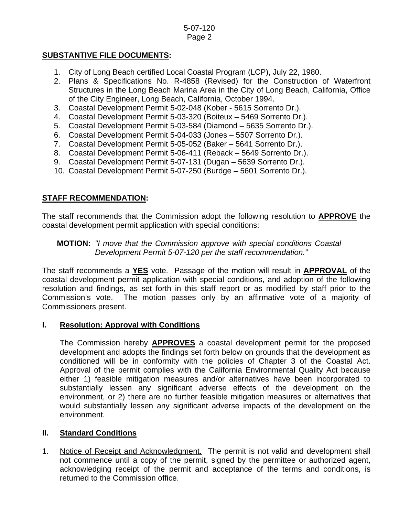# **SUBSTANTIVE FILE DOCUMENTS:**

- 1. City of Long Beach certified Local Coastal Program (LCP), July 22, 1980.
- 2. Plans & Specifications No. R-4858 (Revised) for the Construction of Waterfront Structures in the Long Beach Marina Area in the City of Long Beach, California, Office of the City Engineer, Long Beach, California, October 1994.
- 3. Coastal Development Permit 5-02-048 (Kober 5615 Sorrento Dr.).
- 4. Coastal Development Permit 5-03-320 (Boiteux 5469 Sorrento Dr.).
- 5. Coastal Development Permit 5-03-584 (Diamond 5635 Sorrento Dr.).
- 6. Coastal Development Permit 5-04-033 (Jones 5507 Sorrento Dr.).
- 7. Coastal Development Permit 5-05-052 (Baker 5641 Sorrento Dr.).
- 8. Coastal Development Permit 5-06-411 (Reback 5649 Sorrento Dr.).
- 9. Coastal Development Permit 5-07-131 (Dugan 5639 Sorrento Dr.).
- 10. Coastal Development Permit 5-07-250 (Burdge 5601 Sorrento Dr.).

# **STAFF RECOMMENDATION:**

The staff recommends that the Commission adopt the following resolution to **APPROVE** the coastal development permit application with special conditions:

## **MOTION:** *"I move that the Commission approve with special conditions Coastal Development Permit 5-07-120 per the staff recommendation."*

The staff recommends a **YES** vote. Passage of the motion will result in **APPROVAL** of the coastal development permit application with special conditions, and adoption of the following resolution and findings, as set forth in this staff report or as modified by staff prior to the Commission's vote. The motion passes only by an affirmative vote of a majority of Commissioners present.

#### **I. Resolution: Approval with Conditions**

The Commission hereby **APPROVES** a coastal development permit for the proposed development and adopts the findings set forth below on grounds that the development as conditioned will be in conformity with the policies of Chapter 3 of the Coastal Act. Approval of the permit complies with the California Environmental Quality Act because either 1) feasible mitigation measures and/or alternatives have been incorporated to substantially lessen any significant adverse effects of the development on the environment, or 2) there are no further feasible mitigation measures or alternatives that would substantially lessen any significant adverse impacts of the development on the environment.

# **II. Standard Conditions**

1. Notice of Receipt and Acknowledgment. The permit is not valid and development shall not commence until a copy of the permit, signed by the permittee or authorized agent, acknowledging receipt of the permit and acceptance of the terms and conditions, is returned to the Commission office.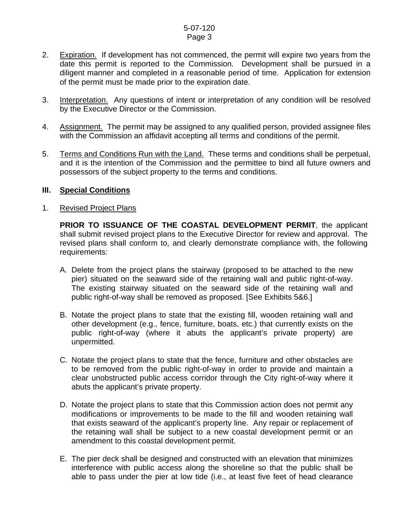#### 5-07-120 Page 3

- 2. Expiration. If development has not commenced, the permit will expire two years from the date this permit is reported to the Commission. Development shall be pursued in a diligent manner and completed in a reasonable period of time. Application for extension of the permit must be made prior to the expiration date.
- 3. Interpretation. Any questions of intent or interpretation of any condition will be resolved by the Executive Director or the Commission.
- 4. Assignment. The permit may be assigned to any qualified person, provided assignee files with the Commission an affidavit accepting all terms and conditions of the permit.
- 5. Terms and Conditions Run with the Land. These terms and conditions shall be perpetual, and it is the intention of the Commission and the permittee to bind all future owners and possessors of the subject property to the terms and conditions.

#### **III. Special Conditions**

#### 1. Revised Project Plans

**PRIOR TO ISSUANCE OF THE COASTAL DEVELOPMENT PERMIT**, the applicant shall submit revised project plans to the Executive Director for review and approval. The revised plans shall conform to, and clearly demonstrate compliance with, the following requirements:

- A. Delete from the project plans the stairway (proposed to be attached to the new pier) situated on the seaward side of the retaining wall and public right-of-way. The existing stairway situated on the seaward side of the retaining wall and public right-of-way shall be removed as proposed. [See Exhibits 5&6.]
- B. Notate the project plans to state that the existing fill, wooden retaining wall and other development (e.g., fence, furniture, boats, etc.) that currently exists on the public right-of-way (where it abuts the applicant's private property) are unpermitted.
- C. Notate the project plans to state that the fence, furniture and other obstacles are to be removed from the public right-of-way in order to provide and maintain a clear unobstructed public access corridor through the City right-of-way where it abuts the applicant's private property.
- D. Notate the project plans to state that this Commission action does not permit any modifications or improvements to be made to the fill and wooden retaining wall that exists seaward of the applicant's property line. Any repair or replacement of the retaining wall shall be subject to a new coastal development permit or an amendment to this coastal development permit.
- E. The pier deck shall be designed and constructed with an elevation that minimizes interference with public access along the shoreline so that the public shall be able to pass under the pier at low tide (i.e., at least five feet of head clearance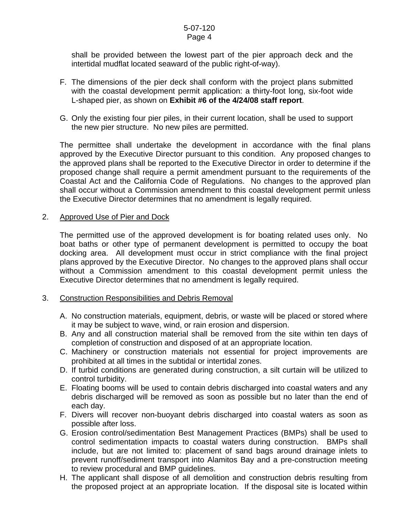#### 5-07-120 Page 4

shall be provided between the lowest part of the pier approach deck and the intertidal mudflat located seaward of the public right-of-way).

- F. The dimensions of the pier deck shall conform with the project plans submitted with the coastal development permit application: a thirty-foot long, six-foot wide L-shaped pier, as shown on **Exhibit #6 of the 4/24/08 staff report**.
- G. Only the existing four pier piles, in their current location, shall be used to support the new pier structure. No new piles are permitted.

The permittee shall undertake the development in accordance with the final plans approved by the Executive Director pursuant to this condition. Any proposed changes to the approved plans shall be reported to the Executive Director in order to determine if the proposed change shall require a permit amendment pursuant to the requirements of the Coastal Act and the California Code of Regulations. No changes to the approved plan shall occur without a Commission amendment to this coastal development permit unless the Executive Director determines that no amendment is legally required.

#### 2. Approved Use of Pier and Dock

The permitted use of the approved development is for boating related uses only. No boat baths or other type of permanent development is permitted to occupy the boat docking area. All development must occur in strict compliance with the final project plans approved by the Executive Director. No changes to the approved plans shall occur without a Commission amendment to this coastal development permit unless the Executive Director determines that no amendment is legally required.

#### 3. Construction Responsibilities and Debris Removal

- A. No construction materials, equipment, debris, or waste will be placed or stored where it may be subject to wave, wind, or rain erosion and dispersion.
- B. Any and all construction material shall be removed from the site within ten days of completion of construction and disposed of at an appropriate location.
- C. Machinery or construction materials not essential for project improvements are prohibited at all times in the subtidal or intertidal zones.
- D. If turbid conditions are generated during construction, a silt curtain will be utilized to control turbidity.
- E. Floating booms will be used to contain debris discharged into coastal waters and any debris discharged will be removed as soon as possible but no later than the end of each day.
- F. Divers will recover non-buoyant debris discharged into coastal waters as soon as possible after loss.
- G. Erosion control/sedimentation Best Management Practices (BMPs) shall be used to control sedimentation impacts to coastal waters during construction. BMPs shall include, but are not limited to: placement of sand bags around drainage inlets to prevent runoff/sediment transport into Alamitos Bay and a pre-construction meeting to review procedural and BMP guidelines.
- H. The applicant shall dispose of all demolition and construction debris resulting from the proposed project at an appropriate location. If the disposal site is located within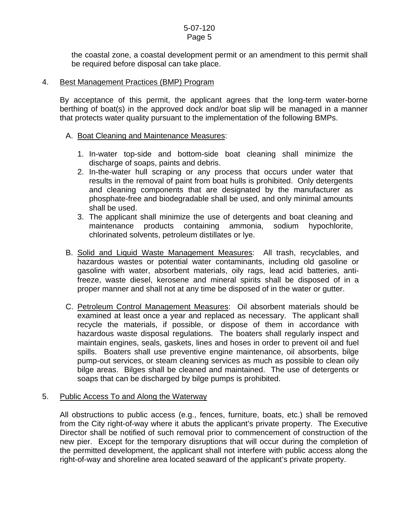the coastal zone, a coastal development permit or an amendment to this permit shall be required before disposal can take place.

#### 4. Best Management Practices (BMP) Program

By acceptance of this permit, the applicant agrees that the long-term water-borne berthing of boat(s) in the approved dock and/or boat slip will be managed in a manner that protects water quality pursuant to the implementation of the following BMPs.

#### A. Boat Cleaning and Maintenance Measures:

- 1. In-water top-side and bottom-side boat cleaning shall minimize the discharge of soaps, paints and debris.
- 2. In-the-water hull scraping or any process that occurs under water that results in the removal of paint from boat hulls is prohibited. Only detergents and cleaning components that are designated by the manufacturer as phosphate-free and biodegradable shall be used, and only minimal amounts shall be used.
- 3. The applicant shall minimize the use of detergents and boat cleaning and maintenance products containing ammonia, sodium hypochlorite, chlorinated solvents, petroleum distillates or lye.
- B. Solid and Liquid Waste Management Measures: All trash, recyclables, and hazardous wastes or potential water contaminants, including old gasoline or gasoline with water, absorbent materials, oily rags, lead acid batteries, antifreeze, waste diesel, kerosene and mineral spirits shall be disposed of in a proper manner and shall not at any time be disposed of in the water or gutter.
- C. Petroleum Control Management Measures: Oil absorbent materials should be examined at least once a year and replaced as necessary. The applicant shall recycle the materials, if possible, or dispose of them in accordance with hazardous waste disposal regulations. The boaters shall regularly inspect and maintain engines, seals, gaskets, lines and hoses in order to prevent oil and fuel spills. Boaters shall use preventive engine maintenance, oil absorbents, bilge pump-out services, or steam cleaning services as much as possible to clean oily bilge areas. Bilges shall be cleaned and maintained. The use of detergents or soaps that can be discharged by bilge pumps is prohibited.

#### 5. Public Access To and Along the Waterway

All obstructions to public access (e.g., fences, furniture, boats, etc.) shall be removed from the City right-of-way where it abuts the applicant's private property. The Executive Director shall be notified of such removal prior to commencement of construction of the new pier. Except for the temporary disruptions that will occur during the completion of the permitted development, the applicant shall not interfere with public access along the right-of-way and shoreline area located seaward of the applicant's private property.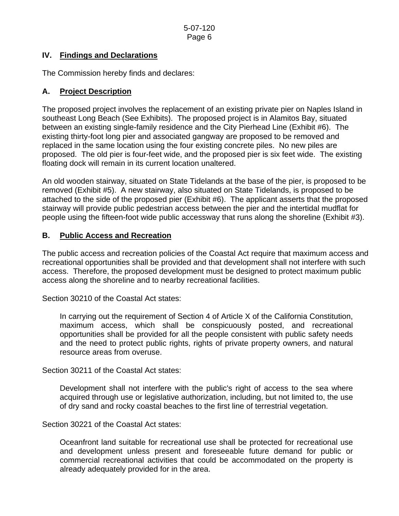## **IV. Findings and Declarations**

The Commission hereby finds and declares:

# **A. Project Description**

The proposed project involves the replacement of an existing private pier on Naples Island in southeast Long Beach (See Exhibits). The proposed project is in Alamitos Bay, situated between an existing single-family residence and the City Pierhead Line (Exhibit #6). The existing thirty-foot long pier and associated gangway are proposed to be removed and replaced in the same location using the four existing concrete piles. No new piles are proposed. The old pier is four-feet wide, and the proposed pier is six feet wide. The existing floating dock will remain in its current location unaltered.

An old wooden stairway, situated on State Tidelands at the base of the pier, is proposed to be removed (Exhibit #5). A new stairway, also situated on State Tidelands, is proposed to be attached to the side of the proposed pier (Exhibit #6). The applicant asserts that the proposed stairway will provide public pedestrian access between the pier and the intertidal mudflat for people using the fifteen-foot wide public accessway that runs along the shoreline (Exhibit #3).

# **B. Public Access and Recreation**

The public access and recreation policies of the Coastal Act require that maximum access and recreational opportunities shall be provided and that development shall not interfere with such access. Therefore, the proposed development must be designed to protect maximum public access along the shoreline and to nearby recreational facilities.

Section 30210 of the Coastal Act states:

In carrying out the requirement of Section 4 of Article X of the California Constitution, maximum access, which shall be conspicuously posted, and recreational opportunities shall be provided for all the people consistent with public safety needs and the need to protect public rights, rights of private property owners, and natural resource areas from overuse.

Section 30211 of the Coastal Act states:

Development shall not interfere with the public's right of access to the sea where acquired through use or legislative authorization, including, but not limited to, the use of dry sand and rocky coastal beaches to the first line of terrestrial vegetation.

Section 30221 of the Coastal Act states:

Oceanfront land suitable for recreational use shall be protected for recreational use and development unless present and foreseeable future demand for public or commercial recreational activities that could be accommodated on the property is already adequately provided for in the area.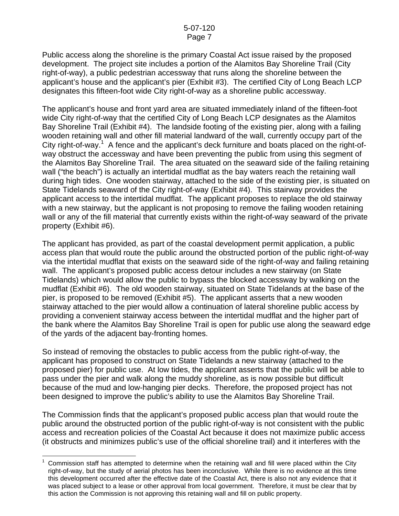Public access along the shoreline is the primary Coastal Act issue raised by the proposed development. The project site includes a portion of the Alamitos Bay Shoreline Trail (City right-of-way), a public pedestrian accessway that runs along the shoreline between the applicant's house and the applicant's pier (Exhibit #3). The certified City of Long Beach LCP designates this fifteen-foot wide City right-of-way as a shoreline public accessway.

The applicant's house and front yard area are situated immediately inland of the fifteen-foot wide City right-of-way that the certified City of Long Beach LCP designates as the Alamitos Bay Shoreline Trail (Exhibit #4). The landside footing of the existing pier, along with a failing wooden retaining wall and other fill material landward of the wall, currently occupy part of the City right-of-way.<sup>[1](#page-6-0)</sup> A fence and the applicant's deck furniture and boats placed on the right-ofway obstruct the accessway and have been preventing the public from using this segment of the Alamitos Bay Shoreline Trail. The area situated on the seaward side of the failing retaining wall ("the beach") is actually an intertidal mudflat as the bay waters reach the retaining wall during high tides. One wooden stairway, attached to the side of the existing pier, is situated on State Tidelands seaward of the City right-of-way (Exhibit #4). This stairway provides the applicant access to the intertidal mudflat. The applicant proposes to replace the old stairway with a new stairway, but the applicant is not proposing to remove the failing wooden retaining wall or any of the fill material that currently exists within the right-of-way seaward of the private property (Exhibit #6).

The applicant has provided, as part of the coastal development permit application, a public access plan that would route the public around the obstructed portion of the public right-of-way via the intertidal mudflat that exists on the seaward side of the right-of-way and failing retaining wall. The applicant's proposed public access detour includes a new stairway (on State Tidelands) which would allow the public to bypass the blocked accessway by walking on the mudflat (Exhibit #6). The old wooden stairway, situated on State Tidelands at the base of the pier, is proposed to be removed (Exhibit #5). The applicant asserts that a new wooden stairway attached to the pier would allow a continuation of lateral shoreline public access by providing a convenient stairway access between the intertidal mudflat and the higher part of the bank where the Alamitos Bay Shoreline Trail is open for public use along the seaward edge of the yards of the adjacent bay-fronting homes.

So instead of removing the obstacles to public access from the public right-of-way, the applicant has proposed to construct on State Tidelands a new stairway (attached to the proposed pier) for public use. At low tides, the applicant asserts that the public will be able to pass under the pier and walk along the muddy shoreline, as is now possible but difficult because of the mud and low-hanging pier decks. Therefore, the proposed project has not been designed to improve the public's ability to use the Alamitos Bay Shoreline Trail.

The Commission finds that the applicant's proposed public access plan that would route the public around the obstructed portion of the public right-of-way is not consistent with the public access and recreation policies of the Coastal Act because it does not maximize public access (it obstructs and minimizes public's use of the official shoreline trail) and it interferes with the

<span id="page-6-0"></span> $\overline{a}$ 1 Commission staff has attempted to determine when the retaining wall and fill were placed within the City right-of-way, but the study of aerial photos has been inconclusive. While there is no evidence at this time this development occurred after the effective date of the Coastal Act, there is also not any evidence that it was placed subject to a lease or other approval from local government. Therefore, it must be clear that by this action the Commission is not approving this retaining wall and fill on public property.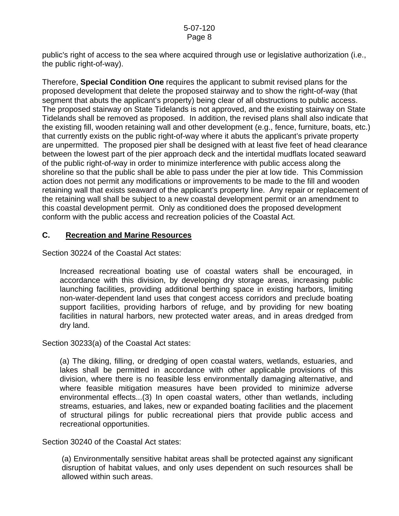public's right of access to the sea where acquired through use or legislative authorization (i.e., the public right-of-way).

Therefore, **Special Condition One** requires the applicant to submit revised plans for the proposed development that delete the proposed stairway and to show the right-of-way (that segment that abuts the applicant's property) being clear of all obstructions to public access. The proposed stairway on State Tidelands is not approved, and the existing stairway on State Tidelands shall be removed as proposed. In addition, the revised plans shall also indicate that the existing fill, wooden retaining wall and other development (e.g., fence, furniture, boats, etc.) that currently exists on the public right-of-way where it abuts the applicant's private property are unpermitted. The proposed pier shall be designed with at least five feet of head clearance between the lowest part of the pier approach deck and the intertidal mudflats located seaward of the public right-of-way in order to minimize interference with public access along the shoreline so that the public shall be able to pass under the pier at low tide. This Commission action does not permit any modifications or improvements to be made to the fill and wooden retaining wall that exists seaward of the applicant's property line. Any repair or replacement of the retaining wall shall be subject to a new coastal development permit or an amendment to this coastal development permit. Only as conditioned does the proposed development conform with the public access and recreation policies of the Coastal Act.

# **C. Recreation and Marine Resources**

Section 30224 of the Coastal Act states:

Increased recreational boating use of coastal waters shall be encouraged, in accordance with this division, by developing dry storage areas, increasing public launching facilities, providing additional berthing space in existing harbors, limiting non-water-dependent land uses that congest access corridors and preclude boating support facilities, providing harbors of refuge, and by providing for new boating facilities in natural harbors, new protected water areas, and in areas dredged from dry land.

Section 30233(a) of the Coastal Act states:

(a) The diking, filling, or dredging of open coastal waters, wetlands, estuaries, and lakes shall be permitted in accordance with other applicable provisions of this division, where there is no feasible less environmentally damaging alternative, and where feasible mitigation measures have been provided to minimize adverse environmental effects...(3) In open coastal waters, other than wetlands, including streams, estuaries, and lakes, new or expanded boating facilities and the placement of structural pilings for public recreational piers that provide public access and recreational opportunities.

Section 30240 of the Coastal Act states:

(a) Environmentally sensitive habitat areas shall be protected against any significant disruption of habitat values, and only uses dependent on such resources shall be allowed within such areas.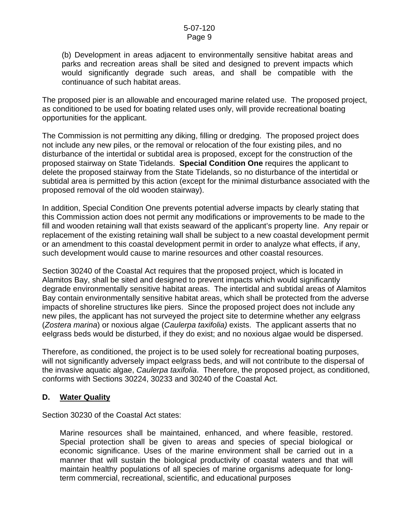(b) Development in areas adjacent to environmentally sensitive habitat areas and parks and recreation areas shall be sited and designed to prevent impacts which would significantly degrade such areas, and shall be compatible with the continuance of such habitat areas.

The proposed pier is an allowable and encouraged marine related use. The proposed project, as conditioned to be used for boating related uses only, will provide recreational boating opportunities for the applicant.

The Commission is not permitting any diking, filling or dredging. The proposed project does not include any new piles, or the removal or relocation of the four existing piles, and no disturbance of the intertidal or subtidal area is proposed, except for the construction of the proposed stairway on State Tidelands. **Special Condition One** requires the applicant to delete the proposed stairway from the State Tidelands, so no disturbance of the intertidal or subtidal area is permitted by this action (except for the minimal disturbance associated with the proposed removal of the old wooden stairway).

In addition, Special Condition One prevents potential adverse impacts by clearly stating that this Commission action does not permit any modifications or improvements to be made to the fill and wooden retaining wall that exists seaward of the applicant's property line. Any repair or replacement of the existing retaining wall shall be subject to a new coastal development permit or an amendment to this coastal development permit in order to analyze what effects, if any, such development would cause to marine resources and other coastal resources.

Section 30240 of the Coastal Act requires that the proposed project, which is located in Alamitos Bay, shall be sited and designed to prevent impacts which would significantly degrade environmentally sensitive habitat areas. The intertidal and subtidal areas of Alamitos Bay contain environmentally sensitive habitat areas, which shall be protected from the adverse impacts of shoreline structures like piers. Since the proposed project does not include any new piles, the applicant has not surveyed the project site to determine whether any eelgrass (*Zostera marina*) or noxious algae (*Caulerpa taxifolia)* exists. The applicant asserts that no eelgrass beds would be disturbed, if they do exist; and no noxious algae would be dispersed.

Therefore, as conditioned, the project is to be used solely for recreational boating purposes, will not significantly adversely impact eelgrass beds, and will not contribute to the dispersal of the invasive aquatic algae, *Caulerpa taxifolia*. Therefore, the proposed project, as conditioned, conforms with Sections 30224, 30233 and 30240 of the Coastal Act.

#### **D. Water Quality**

Section 30230 of the Coastal Act states:

Marine resources shall be maintained, enhanced, and where feasible, restored. Special protection shall be given to areas and species of special biological or economic significance. Uses of the marine environment shall be carried out in a manner that will sustain the biological productivity of coastal waters and that will maintain healthy populations of all species of marine organisms adequate for longterm commercial, recreational, scientific, and educational purposes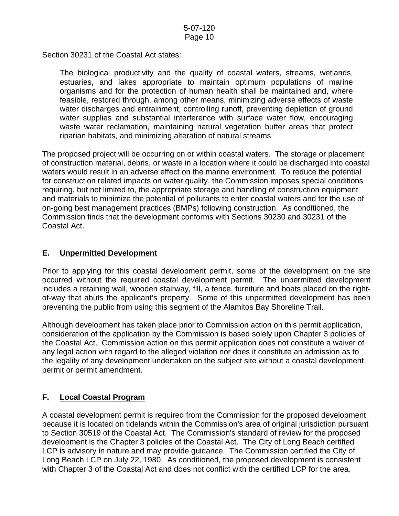Section 30231 of the Coastal Act states:

The biological productivity and the quality of coastal waters, streams, wetlands, estuaries, and lakes appropriate to maintain optimum populations of marine organisms and for the protection of human health shall be maintained and, where feasible, restored through, among other means, minimizing adverse effects of waste water discharges and entrainment, controlling runoff, preventing depletion of ground water supplies and substantial interference with surface water flow, encouraging waste water reclamation, maintaining natural vegetation buffer areas that protect riparian habitats, and minimizing alteration of natural streams

The proposed project will be occurring on or within coastal waters. The storage or placement of construction material, debris, or waste in a location where it could be discharged into coastal waters would result in an adverse effect on the marine environment. To reduce the potential for construction related impacts on water quality, the Commission imposes special conditions requiring, but not limited to, the appropriate storage and handling of construction equipment and materials to minimize the potential of pollutants to enter coastal waters and for the use of on-going best management practices (BMPs) following construction. As conditioned, the Commission finds that the development conforms with Sections 30230 and 30231 of the Coastal Act.

# **E. Unpermitted Development**

Prior to applying for this coastal development permit, some of the development on the site occurred without the required coastal development permit. The unpermitted development includes a retaining wall, wooden stairway, fill, a fence, furniture and boats placed on the rightof-way that abuts the applicant's property. Some of this unpermitted development has been preventing the public from using this segment of the Alamitos Bay Shoreline Trail.

Although development has taken place prior to Commission action on this permit application, consideration of the application by the Commission is based solely upon Chapter 3 policies of the Coastal Act. Commission action on this permit application does not constitute a waiver of any legal action with regard to the alleged violation nor does it constitute an admission as to the legality of any development undertaken on the subject site without a coastal development permit or permit amendment.

# **F. Local Coastal Program**

A coastal development permit is required from the Commission for the proposed development because it is located on tidelands within the Commission's area of original jurisdiction pursuant to Section 30519 of the Coastal Act. The Commission's standard of review for the proposed development is the Chapter 3 policies of the Coastal Act. The City of Long Beach certified LCP is advisory in nature and may provide guidance. The Commission certified the City of Long Beach LCP on July 22, 1980. As conditioned, the proposed development is consistent with Chapter 3 of the Coastal Act and does not conflict with the certified LCP for the area.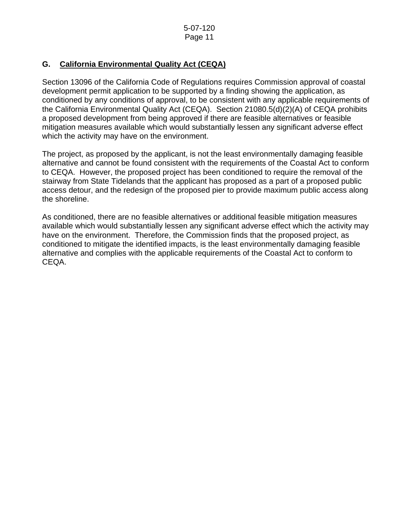# **G. California Environmental Quality Act (CEQA)**

Section 13096 of the California Code of Regulations requires Commission approval of coastal development permit application to be supported by a finding showing the application, as conditioned by any conditions of approval, to be consistent with any applicable requirements of the California Environmental Quality Act (CEQA). Section 21080.5(d)(2)(A) of CEQA prohibits a proposed development from being approved if there are feasible alternatives or feasible mitigation measures available which would substantially lessen any significant adverse effect which the activity may have on the environment.

The project, as proposed by the applicant, is not the least environmentally damaging feasible alternative and cannot be found consistent with the requirements of the Coastal Act to conform to CEQA. However, the proposed project has been conditioned to require the removal of the stairway from State Tidelands that the applicant has proposed as a part of a proposed public access detour, and the redesign of the proposed pier to provide maximum public access along the shoreline.

As conditioned, there are no feasible alternatives or additional feasible mitigation measures available which would substantially lessen any significant adverse effect which the activity may have on the environment. Therefore, the Commission finds that the proposed project, as conditioned to mitigate the identified impacts, is the least environmentally damaging feasible alternative and complies with the applicable requirements of the Coastal Act to conform to CEQA.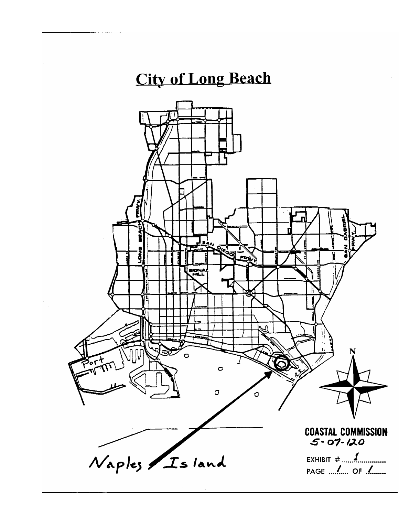# **City of Long Beach**

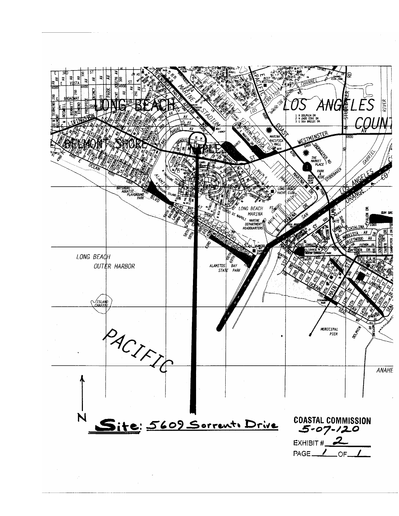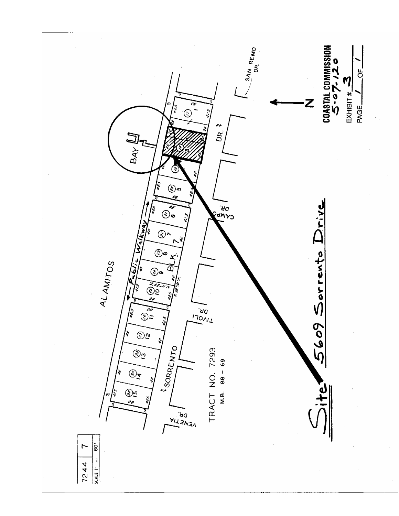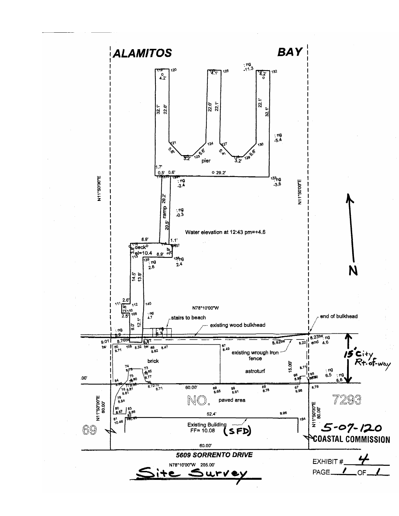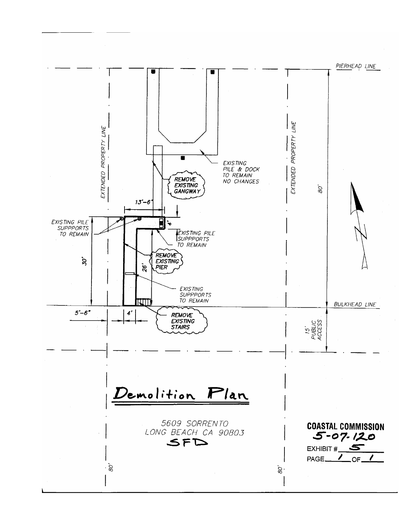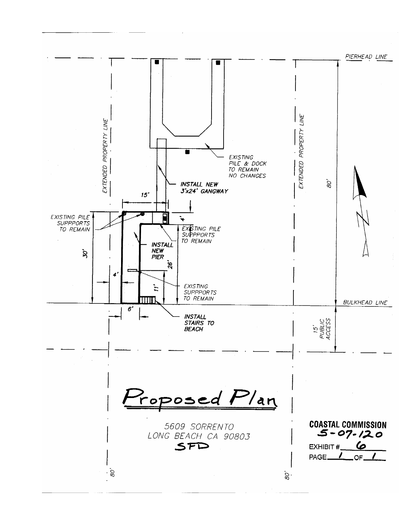